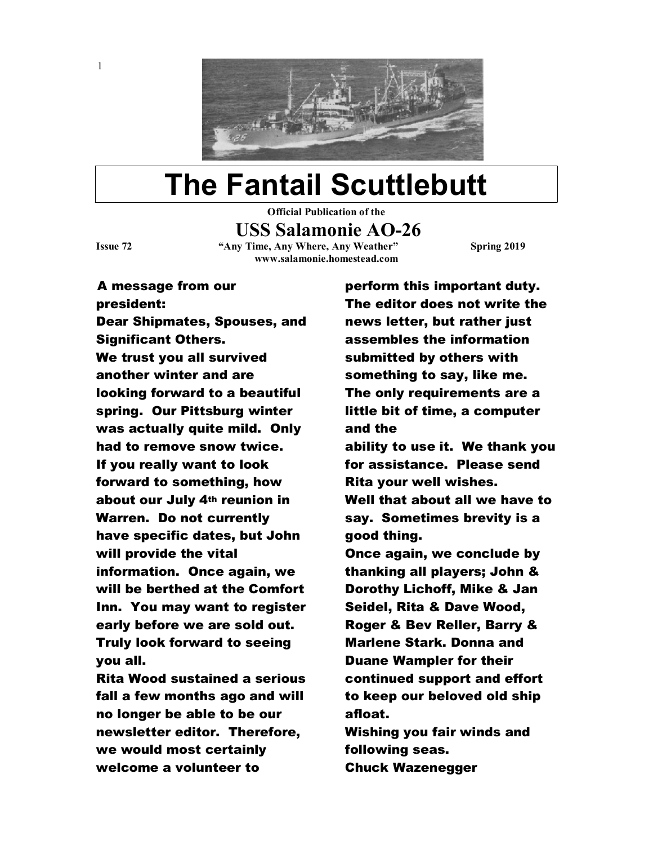

## The Fantail Scuttlebutt

Official Publication of the

USS Salamonie AO-26

1

Issue 72 "Any Time, Any Where, Any Weather" Spring 2019 www.salamonie.homestead.com

A message from our president: Dear Shipmates, Spouses, and Significant Others. We trust you all survived another winter and are looking forward to a beautiful spring. Our Pittsburg winter was actually quite mild. Only had to remove snow twice. If you really want to look forward to something, how about our July 4th reunion in Warren. Do not currently have specific dates, but John will provide the vital information. Once again, we will be berthed at the Comfort Inn. You may want to register early before we are sold out. Truly look forward to seeing you all.

Rita Wood sustained a serious fall a few months ago and will no longer be able to be our newsletter editor. Therefore, we would most certainly welcome a volunteer to

perform this important duty. The editor does not write the news letter, but rather just assembles the information submitted by others with something to say, like me. The only requirements are a little bit of time, a computer and the ability to use it. We thank you for assistance. Please send Rita your well wishes. Well that about all we have to say. Sometimes brevity is a good thing. Once again, we conclude by thanking all players; John & Dorothy Lichoff, Mike & Jan Seidel, Rita & Dave Wood, Roger & Bev Reller, Barry & Marlene Stark. Donna and Duane Wampler for their continued support and effort to keep our beloved old ship afloat. Wishing you fair winds and following seas. Chuck Wazenegger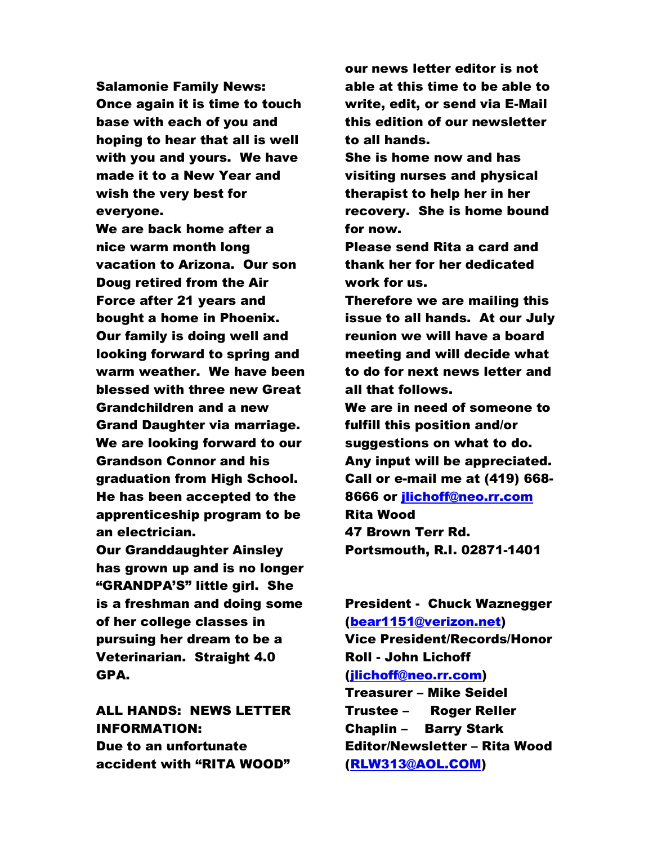Salamonie Family News: Once again it is time to touch base with each of you and hoping to hear that all is well with you and yours. We have made it to a New Year and wish the very best for everyone.

We are back home after a nice warm month long vacation to Arizona. Our son Doug retired from the Air Force after 21 years and bought a home in Phoenix. Our family is doing well and looking forward to spring and warm weather. We have been blessed with three new Great Grandchildren and a new Grand Daughter via marriage. We are looking forward to our Grandson Connor and his graduation from High School. He has been accepted to the apprenticeship program to be an electrician.

Our Granddaughter Ainsley has grown up and is no longer "GRANDPA'S" little girl. She is a freshman and doing some of her college classes in pursuing her dream to be a Veterinarian. Straight 4.0 GPA.

ALL HANDS: NEWS LETTER INFORMATION: Due to an unfortunate accident with "RITA WOOD"

our news letter editor is not able at this time to be able to write, edit, or send via E-Mail this edition of our newsletter to all hands.

She is home now and has visiting nurses and physical therapist to help her in her recovery. She is home bound for now.

Please send Rita a card and thank her for her dedicated work for us.

Therefore we are mailing this issue to all hands. At our July reunion we will have a board meeting and will decide what to do for next news letter and all that follows.

We are in need of someone to fulfill this position and/or suggestions on what to do. Any input will be appreciated. Call or e-mail me at (419) 668- 8666 or jlichoff@neo.rr.com Rita Wood 47 Brown Terr Rd. Portsmouth, R.I. 02871-1401

President - Chuck Waznegger (bear1151@verizon.net) Vice President/Records/Honor Roll - John Lichoff (jlichoff@neo.rr.com)

Treasurer – Mike Seidel Trustee – Roger Reller Chaplin – Barry Stark Editor/Newsletter – Rita Wood (RLW313@AOL.COM)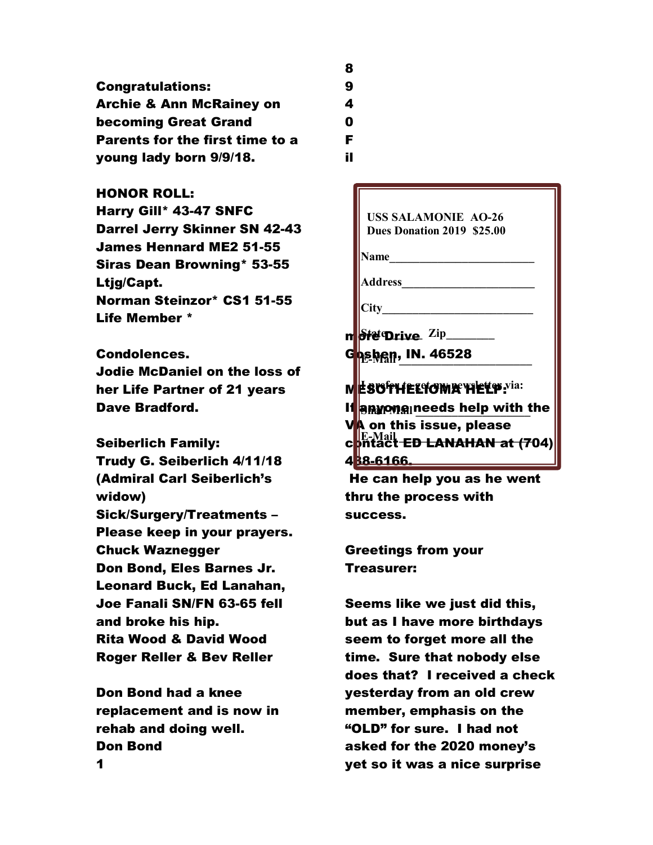Congratulations: Archie & Ann McRainey on becoming Great Grand Parents for the first time to a young lady born 9/9/18.

## HONOR ROLL:

Harry Gill\* 43-47 SNFC Darrel Jerry Skinner SN 42-43 James Hennard ME2 51-55 Siras Dean Browning\* 53-55 Ltjg/Capt. Norman Steinzor\* CS1 51-55 Life Member \*

## Condolences.

Jodie McDaniel on the loss of her Life Partner of 21 years Dave Bradford.

Seiberlich Family: Trudy G. Seiberlich 4/11/18 (Admiral Carl Seiberlich's widow) Sick/Surgery/Treatments – Please keep in your prayers. Chuck Waznegger Don Bond, Eles Barnes Jr. Leonard Buck, Ed Lanahan, Joe Fanali SN/FN 63-65 fell and broke his hip. Rita Wood & David Wood Roger Reller & Bev Reller

Don Bond had a knee replacement and is now in rehab and doing well. Don Bond

- 8 9 4  $\mathbf{0}$ F
- il

 USS SALAMONIE AO-26 Dues Donation 2019 \$25.00

Name  $\Box$ 

Address\_\_\_\_\_\_\_\_\_\_\_\_\_\_\_\_\_\_\_\_\_\_

 $City$ 

m $\theta$ fe Drive  $\mathrm{Zip}$  and  $\theta$  and  $\theta$  and  $\theta$  and  $\theta$  and  $\theta$  and  $\theta$  and  $\theta$  and  $\theta$  and  $\theta$  and  $\theta$  and  $\theta$  and  $\theta$  and  $\theta$  and  $\theta$  and  $\theta$  and  $\theta$  and  $\theta$  and  $\theta$  and  $\theta$  and  $\theta$  and  $\theta$  and  $\theta$ 

G<mark>oshen, IN. 46528</mark>

MESOTHELIOMA HELP: I prefer to get my newsletter via:

If anyone needs help with the **f** VA on this issue, please  $\mathbf{c}$  phtact ED LANAHAN at (704) 4**38-6166.** 

 He can help you as he went thru the process with success.

Greetings from your Treasurer:

Seems like we just did this, but as I have more birthdays seem to forget more all the time. Sure that nobody else does that? I received a check yesterday from an old crew member, emphasis on the "OLD" for sure. I had not asked for the 2020 money's yet so it was a nice surprise